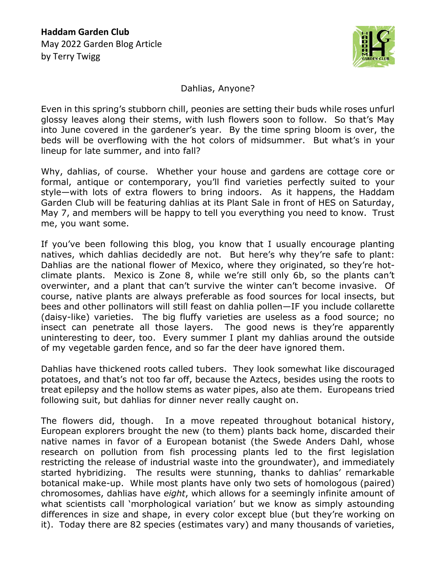

Dahlias, Anyone?

Even in this spring's stubborn chill, peonies are setting their buds while roses unfurl glossy leaves along their stems, with lush flowers soon to follow. So that's May into June covered in the gardener's year. By the time spring bloom is over, the beds will be overflowing with the hot colors of midsummer. But what's in your lineup for late summer, and into fall?

Why, dahlias, of course. Whether your house and gardens are cottage core or formal, antique or contemporary, you'll find varieties perfectly suited to your style—with lots of extra flowers to bring indoors. As it happens, the Haddam Garden Club will be featuring dahlias at its Plant Sale in front of HES on Saturday, May 7, and members will be happy to tell you everything you need to know. Trust me, you want some.

If you've been following this blog, you know that I usually encourage planting natives, which dahlias decidedly are not. But here's why they're safe to plant: Dahlias are the national flower of Mexico, where they originated, so they're hotclimate plants. Mexico is Zone 8, while we're still only 6b, so the plants can't overwinter, and a plant that can't survive the winter can't become invasive. Of course, native plants are always preferable as food sources for local insects, but bees and other pollinators will still feast on dahlia pollen—IF you include collarette (daisy-like) varieties. The big fluffy varieties are useless as a food source; no insect can penetrate all those layers. The good news is they're apparently uninteresting to deer, too. Every summer I plant my dahlias around the outside of my vegetable garden fence, and so far the deer have ignored them.

Dahlias have thickened roots called tubers. They look somewhat like discouraged potatoes, and that's not too far off, because the Aztecs, besides using the roots to treat epilepsy and the hollow stems as water pipes, also ate them. Europeans tried following suit, but dahlias for dinner never really caught on.

The flowers did, though. In a move repeated throughout botanical history, European explorers brought the new (to them) plants back home, discarded their native names in favor of a European botanist (the Swede Anders Dahl, whose research on pollution from fish processing plants led to the first legislation restricting the release of industrial waste into the groundwater), and immediately started hybridizing. The results were stunning, thanks to dahlias' remarkable botanical make-up. While most plants have only two sets of homologous (paired) chromosomes, dahlias have *eight*, which allows for a seemingly infinite amount of what scientists call 'morphological variation' but we know as simply astounding differences in size and shape, in every color except blue (but they're working on it). Today there are 82 species (estimates vary) and many thousands of varieties,